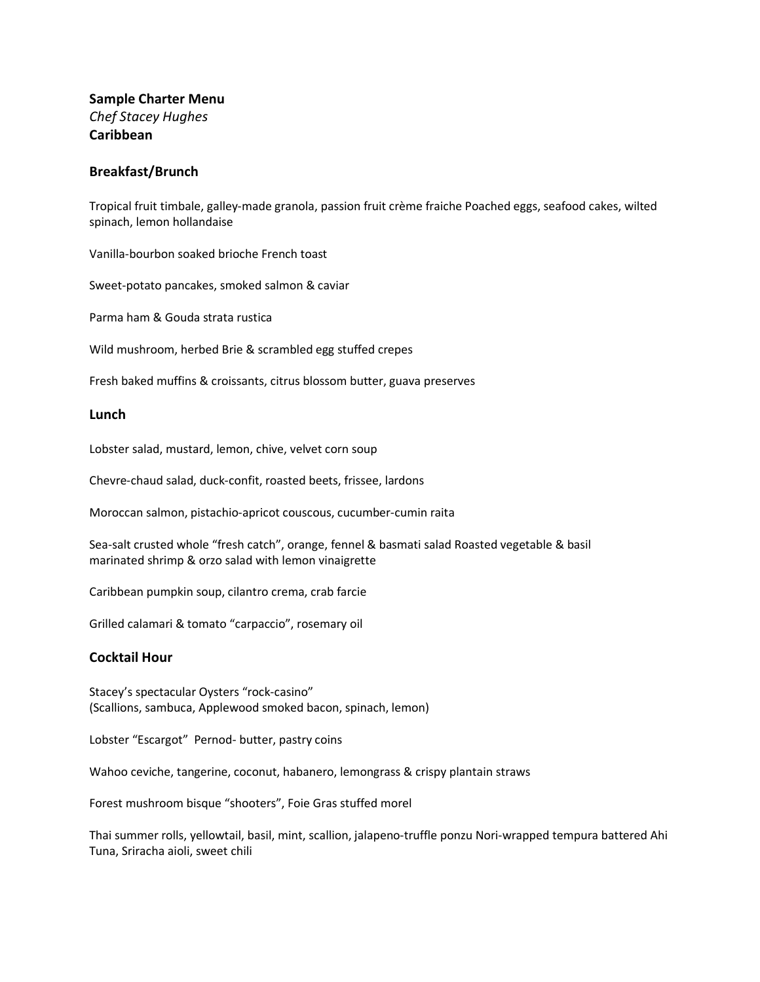# **Sample Charter Menu** *Chef Stacey Hughes* **Caribbean**

## **Breakfast/Brunch**

Tropical fruit timbale, galley-made granola, passion fruit crème fraiche Poached eggs, seafood cakes, wilted spinach, lemon hollandaise

Vanilla-bourbon soaked brioche French toast

Sweet-potato pancakes, smoked salmon & caviar

Parma ham & Gouda strata rustica

Wild mushroom, herbed Brie & scrambled egg stuffed crepes

Fresh baked muffins & croissants, citrus blossom butter, guava preserves

#### **Lunch**

Lobster salad, mustard, lemon, chive, velvet corn soup

Chevre-chaud salad, duck-confit, roasted beets, frissee, lardons

Moroccan salmon, pistachio-apricot couscous, cucumber-cumin raita

Sea-salt crusted whole "fresh catch", orange, fennel & basmati salad Roasted vegetable & basil marinated shrimp & orzo salad with lemon vinaigrette

Caribbean pumpkin soup, cilantro crema, crab farcie

Grilled calamari & tomato "carpaccio", rosemary oil

### **Cocktail Hour**

Stacey's spectacular Oysters "rock-casino" (Scallions, sambuca, Applewood smoked bacon, spinach, lemon)

Lobster "Escargot" Pernod- butter, pastry coins

Wahoo ceviche, tangerine, coconut, habanero, lemongrass & crispy plantain straws

Forest mushroom bisque "shooters", Foie Gras stuffed morel

Thai summer rolls, yellowtail, basil, mint, scallion, jalapeno-truffle ponzu Nori-wrapped tempura battered Ahi Tuna, Sriracha aioli, sweet chili